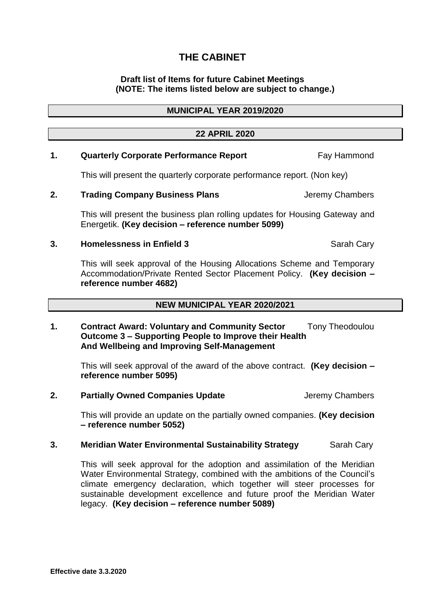# **THE CABINET**

### **Draft list of Items for future Cabinet Meetings (NOTE: The items listed below are subject to change.)**

### **22 APRIL 2020**

## 1. **Quarterly Corporate Performance Report Fay Hammond**

This will present the quarterly corporate performance report. (Non key)

### **2. Trading Company Business Plans Jeremy Chambers**

This will present the business plan rolling updates for Housing Gateway and Energetik. **(Key decision – reference number 5099)**

### **3. Homelessness in Enfield 3** Sarah Cary

This will seek approval of the Housing Allocations Scheme and Temporary Accommodation/Private Rented Sector Placement Policy. **(Key decision – reference number 4682)** 

## **NEW MUNICIPAL YEAR 2020/2021**

### 1. **Contract Award: Voluntary and Community Sector** Tony Theodoulou **Outcome 3 – Supporting People to Improve their Health And Wellbeing and Improving Self-Management**

This will seek approval of the award of the above contract. **(Key decision – reference number 5095)** 

**2. Partially Owned Companies Update Jeremy Chambers** 

This will provide an update on the partially owned companies. **(Key decision – reference number 5052)**

#### **3. Meridian Water Environmental Sustainability Strategy Sarah Cary**

This will seek approval for the adoption and assimilation of the Meridian Water Environmental Strategy, combined with the ambitions of the Council's climate emergency declaration, which together will steer processes for sustainable development excellence and future proof the Meridian Water legacy. **(Key decision – reference number 5089)**